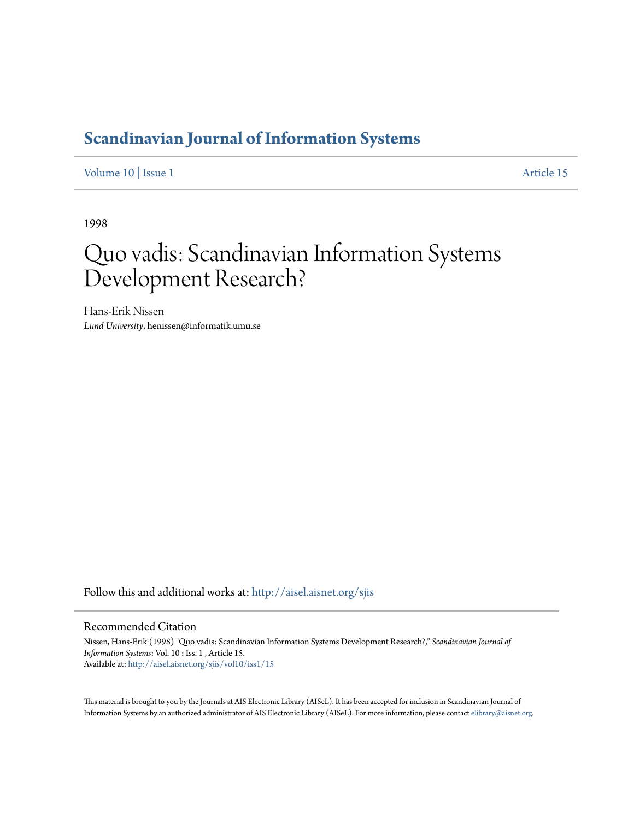# **[Scandinavian Journal of Information Systems](http://aisel.aisnet.org/sjis?utm_source=aisel.aisnet.org%2Fsjis%2Fvol10%2Fiss1%2F15&utm_medium=PDF&utm_campaign=PDFCoverPages)**

[Volume 10](http://aisel.aisnet.org/sjis/vol10?utm_source=aisel.aisnet.org%2Fsjis%2Fvol10%2Fiss1%2F15&utm_medium=PDF&utm_campaign=PDFCoverPages) | [Issue 1](http://aisel.aisnet.org/sjis/vol10/iss1?utm_source=aisel.aisnet.org%2Fsjis%2Fvol10%2Fiss1%2F15&utm_medium=PDF&utm_campaign=PDFCoverPages) [Article 15](http://aisel.aisnet.org/sjis/vol10/iss1/15?utm_source=aisel.aisnet.org%2Fsjis%2Fvol10%2Fiss1%2F15&utm_medium=PDF&utm_campaign=PDFCoverPages)

1998

# Quo vadis: Scandinavian Information Systems Development Research?

Hans-Erik Nissen *Lund University*, henissen@informatik.umu.se

Follow this and additional works at: [http://aisel.aisnet.org/sjis](http://aisel.aisnet.org/sjis?utm_source=aisel.aisnet.org%2Fsjis%2Fvol10%2Fiss1%2F15&utm_medium=PDF&utm_campaign=PDFCoverPages)

#### Recommended Citation

Nissen, Hans-Erik (1998) "Quo vadis: Scandinavian Information Systems Development Research?," *Scandinavian Journal of Information Systems*: Vol. 10 : Iss. 1 , Article 15. Available at: [http://aisel.aisnet.org/sjis/vol10/iss1/15](http://aisel.aisnet.org/sjis/vol10/iss1/15?utm_source=aisel.aisnet.org%2Fsjis%2Fvol10%2Fiss1%2F15&utm_medium=PDF&utm_campaign=PDFCoverPages)

This material is brought to you by the Journals at AIS Electronic Library (AISeL). It has been accepted for inclusion in Scandinavian Journal of Information Systems by an authorized administrator of AIS Electronic Library (AISeL). For more information, please contact [elibrary@aisnet.org.](mailto:elibrary@aisnet.org%3E)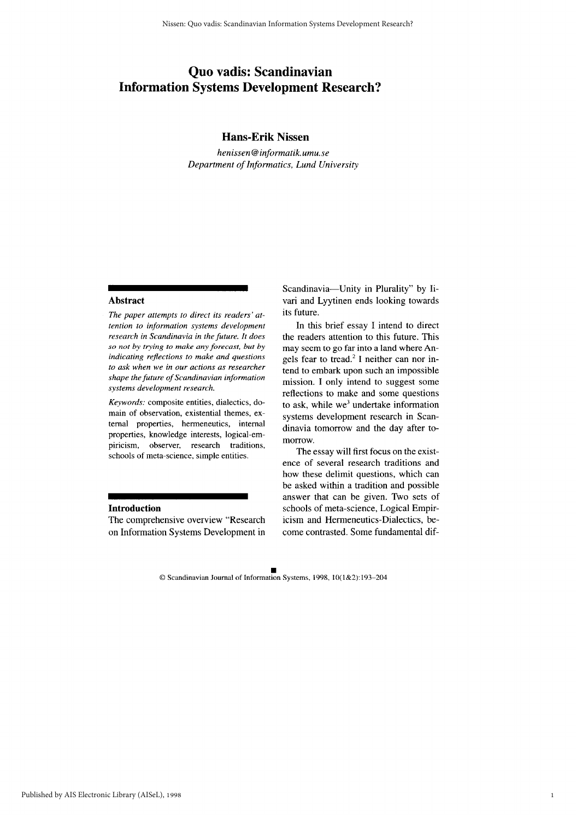## Quo vadis: Scandinavian **Information Systems Development Research?**

#### **Hans-Erik Nissen**

henissen@informatik.umu.se Department of Informatics, Lund University

#### **Abstract**

The paper attempts to direct its readers' attention to information systems development research in Scandinavia in the future. It does so not by trying to make any forecast, but by indicating reflections to make and questions to ask when we in our actions as researcher shape the future of Scandinavian information systems development research.

Keywords: composite entities, dialectics, domain of observation, existential themes, external properties, hermeneutics, internal properties, knowledge interests, logical-empiricism, observer, research traditions, schools of meta-science, simple entities.

#### **Introduction**

The comprehensive overview "Research on Information Systems Development in Scandinavia-Unity in Plurality" by Iivari and Lyytinen ends looking towards its future.

In this brief essay I intend to direct the readers attention to this future. This may seem to go far into a land where Angels fear to tread.<sup>2</sup> I neither can nor intend to embark upon such an impossible mission. I only intend to suggest some reflections to make and some questions to ask, while we<sup>3</sup> undertake information systems development research in Scandinavia tomorrow and the day after tomorrow.

The essay will first focus on the existence of several research traditions and how these delimit questions, which can be asked within a tradition and possible answer that can be given. Two sets of schools of meta-science, Logical Empiricism and Hermeneutics-Dialectics, become contrasted. Some fundamental dif-

© Scandinavian Journal of Information Systems, 1998, 10(1&2):193-204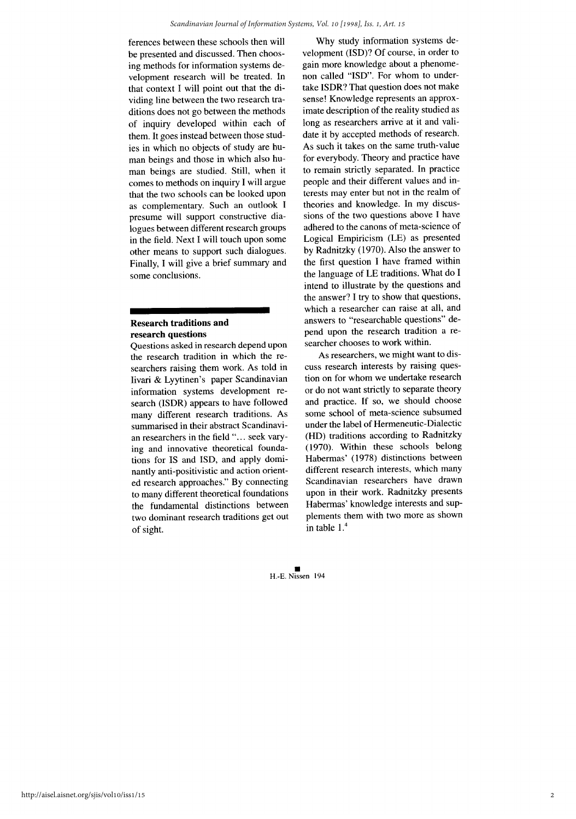ferences between these schools then will be presented and discussed. Then choosing methods for information systems development research will be treated. In that context I will point out that the dividing line between the two research traditions does not go between the methods of inquiry developed within each of them. It goes instead between those studies in which no objects of study are human beings and those in which also human beings are studied. Still, when it comes to methods on inquiry I will argue that the two schools can be looked upon as complementary. Such an outlook I presume will support constructive dialogues between different research groups in the field. Next I will touch upon some other means to support such dialogues. Finally, I will give a brief summary and some conclusions.

#### **Research traditions and** research questions

Questions asked in research depend upon the research tradition in which the researchers raising them work. As told in Iivari & Lyytinen's paper Scandinavian information systems development research (ISDR) appears to have followed many different research traditions. As summarised in their abstract Scandinavian researchers in the field "... seek varying and innovative theoretical foundations for IS and ISD, and apply dominantly anti-positivistic and action oriented research approaches." By connecting to many different theoretical foundations the fundamental distinctions between two dominant research traditions get out of sight.

Why study information systems development (ISD)? Of course, in order to gain more knowledge about a phenomenon called "ISD". For whom to undertake ISDR? That question does not make sense! Knowledge represents an approximate description of the reality studied as long as researchers arrive at it and validate it by accepted methods of research. As such it takes on the same truth-value for everybody. Theory and practice have to remain strictly separated. In practice people and their different values and interests may enter but not in the realm of theories and knowledge. In my discussions of the two questions above I have adhered to the canons of meta-science of Logical Empiricism (LE) as presented by Radnitzky (1970). Also the answer to the first question I have framed within the language of LE traditions. What do I intend to illustrate by the questions and the answer? I try to show that questions, which a researcher can raise at all, and answers to "researchable questions" depend upon the research tradition a researcher chooses to work within.

As researchers, we might want to discuss research interests by raising question on for whom we undertake research or do not want strictly to separate theory and practice. If so, we should choose some school of meta-science subsumed under the label of Hermeneutic-Dialectic (HD) traditions according to Radnitzky (1970). Within these schools belong Habermas' (1978) distinctions between different research interests, which many Scandinavian researchers have drawn upon in their work. Radnitzky presents Habermas' knowledge interests and supplements them with two more as shown in table  $1<sup>4</sup>$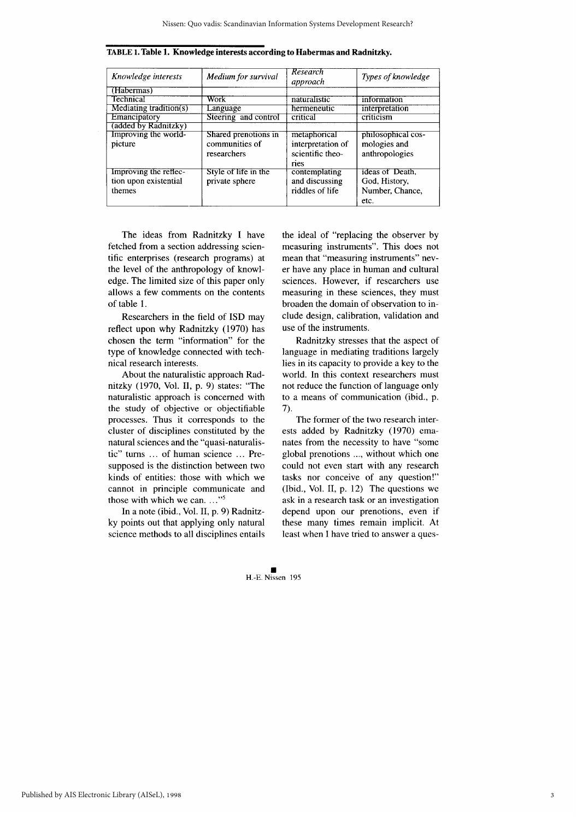| Knowledge interests        | <b>Medium</b> for survival | <b>Research</b><br>approach | Types of knowledge |
|----------------------------|----------------------------|-----------------------------|--------------------|
| (Habermas)                 |                            |                             |                    |
| Technical                  | Work                       | naturalistic                | information        |
| Mediating tradition( $s$ ) | Language                   | hermeneutic                 | interpretation     |
| Emancipatory               | Steering and control       | critical                    | criticism          |
| (added by Radnitzky)       |                            |                             |                    |
| Improving the world-       | Shared prenotions in       | metaphorical                | philosophical cos- |
| picture                    | communities of             | interpretation of           | mologies and       |
|                            | researchers                | scientific theo-            | anthropologies     |
|                            |                            | ries                        |                    |
| Improving the reflec-      | Style of life in the       | contemplating               | ideas of Death.    |
| tion upon existential      | private sphere             | and discussing              | God, History,      |
| themes                     |                            | riddles of life             | Number, Chance,    |
|                            |                            |                             | etc.               |

TABLE 1. Table 1. Knowledge interests according to Habermas and Radnitzky.

The ideas from Radnitzky I have fetched from a section addressing scientific enterprises (research programs) at the level of the anthropology of knowledge. The limited size of this paper only allows a few comments on the contents of table 1.

Researchers in the field of ISD may reflect upon why Radnitzky (1970) has chosen the term "information" for the type of knowledge connected with technical research interests.

About the naturalistic approach Radnitzky (1970, Vol. II, p. 9) states: "The naturalistic approach is concerned with the study of objective or objectifiable processes. Thus it corresponds to the cluster of disciplines constituted by the natural sciences and the "quasi-naturalistic" turns ... of human science ... Presupposed is the distinction between two kinds of entities: those with which we cannot in principle communicate and those with which we can. ..."<sup>5</sup>

In a note (ibid., Vol. II, p. 9) Radnitzky points out that applying only natural science methods to all disciplines entails

the ideal of "replacing the observer by measuring instruments". This does not mean that "measuring instruments" never have any place in human and cultural sciences. However, if researchers use measuring in these sciences, they must broaden the domain of observation to include design, calibration, validation and use of the instruments.

Radnitzky stresses that the aspect of language in mediating traditions largely lies in its capacity to provide a key to the world. In this context researchers must not reduce the function of language only to a means of communication (ibid., p. 7).

The former of the two research interests added by Radnitzky (1970) emanates from the necessity to have "some global prenotions ..., without which one could not even start with any research tasks nor conceive of any question!" (Ibid., Vol. II, p. 12) The questions we ask in a research task or an investigation depend upon our prenotions, even if these many times remain implicit. At least when I have tried to answer a ques-

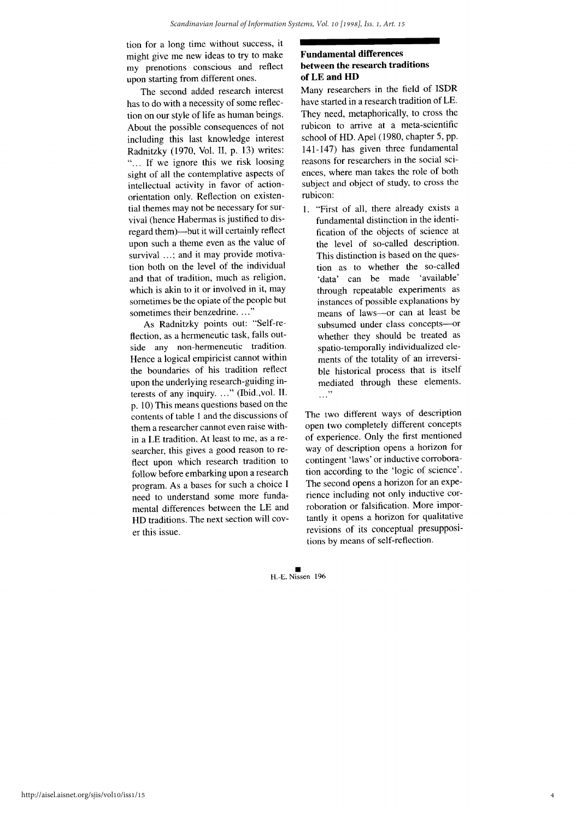tion for a long time without success, it might give me new ideas to try to make my prenotions conscious and reflect upon starting from different ones.

The second added research interest has to do with a necessity of some reflection on our style of life as human beings. About the possible consequences of not including this last knowledge interest Radnitzky (1970, Vol. II, p. 13) writes: "... If we ignore this we risk loosing sight of all the contemplative aspects of intellectual activity in favor of actionorientation only. Reflection on existential themes may not be necessary for survival (hence Habermas is justified to disregard them)—but it will certainly reflect upon such a theme even as the value of survival ...; and it may provide motivation both on the level of the individual and that of tradition, much as religion, which is akin to it or involved in it, may sometimes be the opiate of the people but sometimes their benzedrine....'

As Radnitzky points out: "Self-reflection, as a hermeneutic task, falls outside any non-hermeneutic tradition. Hence a logical empiricist cannot within the boundaries of his tradition reflect upon the underlying research-guiding interests of any inquiry. ..." (Ibid., vol. II. p. 10) This means questions based on the contents of table 1 and the discussions of them a researcher cannot even raise within a LE tradition. At least to me, as a researcher, this gives a good reason to reflect upon which research tradition to follow before embarking upon a research program. As a bases for such a choice I need to understand some more fundamental differences between the LE and HD traditions. The next section will cover this issue.

#### **Fundamental differences** between the research traditions of LE and HD

Many researchers in the field of ISDR have started in a research tradition of LE. They need, metaphorically, to cross the rubicon to arrive at a meta-scientific school of HD. Apel (1980, chapter 5, pp. 141-147) has given three fundamental reasons for researchers in the social sciences, where man takes the role of both subject and object of study, to cross the rubicon:

1. "First of all, there already exists a fundamental distinction in the identification of the objects of science at the level of so-called description. This distinction is based on the question as to whether the so-called 'data' can be made 'available' through repeatable experiments as instances of possible explanations by means of laws-or can at least be subsumed under class concepts-or whether they should be treated as spatio-temporally individualized elements of the totality of an irreversible historical process that is itself mediated through these elements.  $\cdots$ "

The two different ways of description open two completely different concepts of experience. Only the first mentioned way of description opens a horizon for contingent 'laws' or inductive corroboration according to the 'logic of science'. The second opens a horizon for an experience including not only inductive corroboration or falsification. More importantly it opens a horizon for qualitative revisions of its conceptual presuppositions by means of self-reflection.

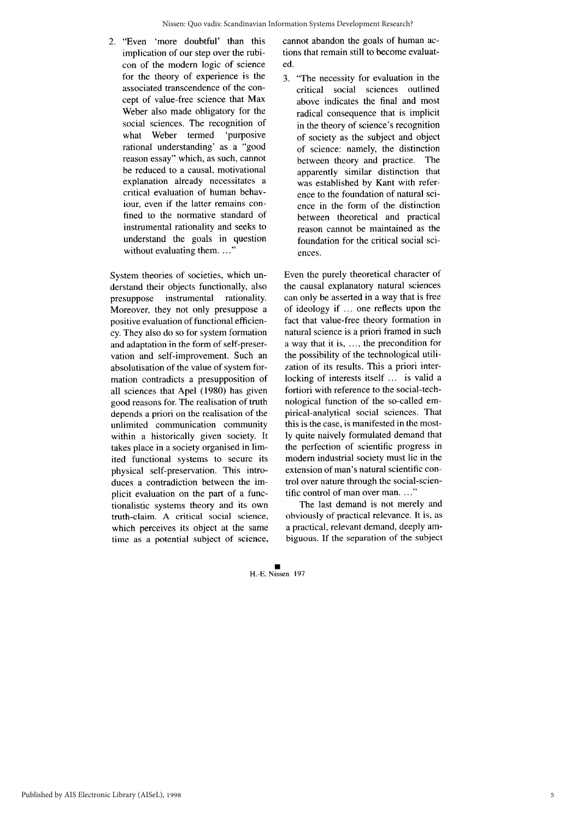2. "Even 'more doubtful' than this implication of our step over the rubicon of the modern logic of science for the theory of experience is the associated transcendence of the concept of value-free science that Max Weber also made obligatory for the social sciences. The recognition of what Weber termed 'purposive rational understanding' as a "good reason essay" which, as such, cannot be reduced to a causal, motivational explanation already necessitates a critical evaluation of human behavjour, even if the latter remains confined to the normative standard of instrumental rationality and seeks to understand the goals in question without evaluating them....'

System theories of societies, which understand their objects functionally, also presuppose instrumental rationality. Moreover, they not only presuppose a positive evaluation of functional efficiency. They also do so for system formation and adaptation in the form of self-preservation and self-improvement. Such an absolutisation of the value of system formation contradicts a presupposition of all sciences that Apel (1980) has given good reasons for. The realisation of truth depends a priori on the realisation of the unlimited communication community within a historically given society. It takes place in a society organised in limited functional systems to secure its physical self-preservation. This introduces a contradiction between the implicit evaluation on the part of a functionalistic systems theory and its own truth-claim. A critical social science, which perceives its object at the same time as a potential subject of science, cannot abandon the goals of human actions that remain still to become evaluated.

3. "The necessity for evaluation in the critical social sciences outlined above indicates the final and most radical consequence that is implicit in the theory of science's recognition of society as the subject and object of science: namely, the distinction between theory and practice. The apparently similar distinction that was established by Kant with reference to the foundation of natural science in the form of the distinction between theoretical and practical reason cannot be maintained as the foundation for the critical social sciences.

Even the purely theoretical character of the causal explanatory natural sciences can only be asserted in a way that is free of ideology if ... one reflects upon the fact that value-free theory formation in natural science is a priori framed in such a way that it is, ..., the precondition for the possibility of the technological utilization of its results. This a priori interlocking of interests itself ... is valid a fortiori with reference to the social-technological function of the so-called empirical-analytical social sciences. That this is the case, is manifested in the mostly quite naively formulated demand that the perfection of scientific progress in modern industrial society must lie in the extension of man's natural scientific control over nature through the social-scientific control of man over man...."

The last demand is not merely and obviously of practical relevance. It is, as a practical, relevant demand, deeply ambiguous. If the separation of the subject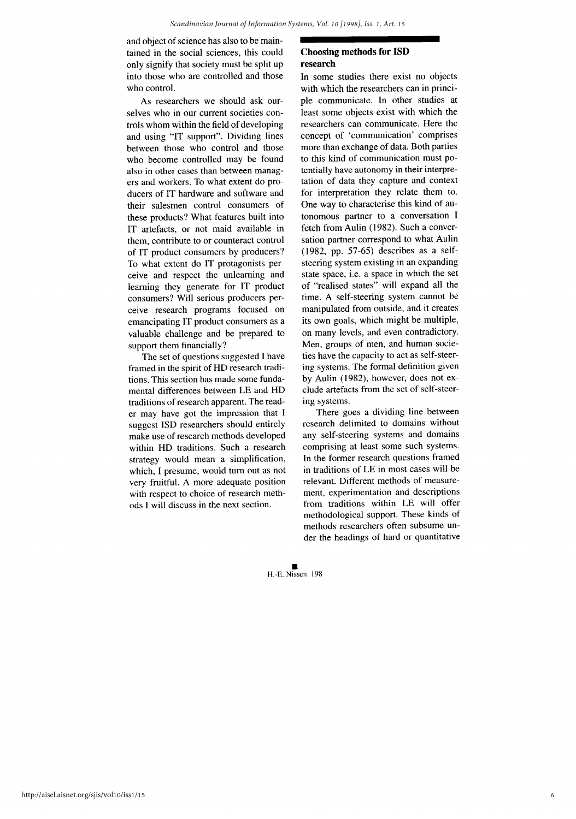and object of science has also to be maintained in the social sciences, this could only signify that society must be split up into those who are controlled and those who control.

As researchers we should ask ourselves who in our current societies controls whom within the field of developing and using "IT support". Dividing lines between those who control and those who become controlled may be found also in other cases than between managers and workers. To what extent do producers of IT hardware and software and their salesmen control consumers of these products? What features built into IT artefacts, or not maid available in them, contribute to or counteract control of IT product consumers by producers? To what extent do IT protagonists perceive and respect the unlearning and learning they generate for IT product consumers? Will serious producers perceive research programs focused on emancipating IT product consumers as a valuable challenge and be prepared to support them financially?

The set of questions suggested I have framed in the spirit of HD research traditions. This section has made some fundamental differences between LE and HD traditions of research apparent. The reader may have got the impression that I suggest ISD researchers should entirely make use of research methods developed within HD traditions. Such a research strategy would mean a simplification, which, I presume, would turn out as not very fruitful. A more adequate position with respect to choice of research methods I will discuss in the next section.

#### **Choosing methods for ISD** research

In some studies there exist no objects with which the researchers can in principle communicate. In other studies at least some objects exist with which the researchers can communicate. Here the concept of 'communication' comprises more than exchange of data. Both parties to this kind of communication must potentially have autonomy in their interpretation of data they capture and context for interpretation they relate them to. One way to characterise this kind of autonomous partner to a conversation I fetch from Aulin (1982). Such a conversation partner correspond to what Aulin  $(1982, pp. 57-65)$  describes as a selfsteering system existing in an expanding state space, i.e. a space in which the set of "realised states" will expand all the time. A self-steering system cannot be manipulated from outside, and it creates its own goals, which might be multiple, on many levels, and even contradictory. Men, groups of men, and human societies have the capacity to act as self-steering systems. The formal definition given by Aulin (1982), however, does not exclude artefacts from the set of self-steering systems.

There goes a dividing line between research delimited to domains without any self-steering systems and domains comprising at least some such systems. In the former research questions framed in traditions of LE in most cases will be relevant. Different methods of measurement, experimentation and descriptions from traditions within LE will offer methodological support. These kinds of methods researchers often subsume under the headings of hard or quantitative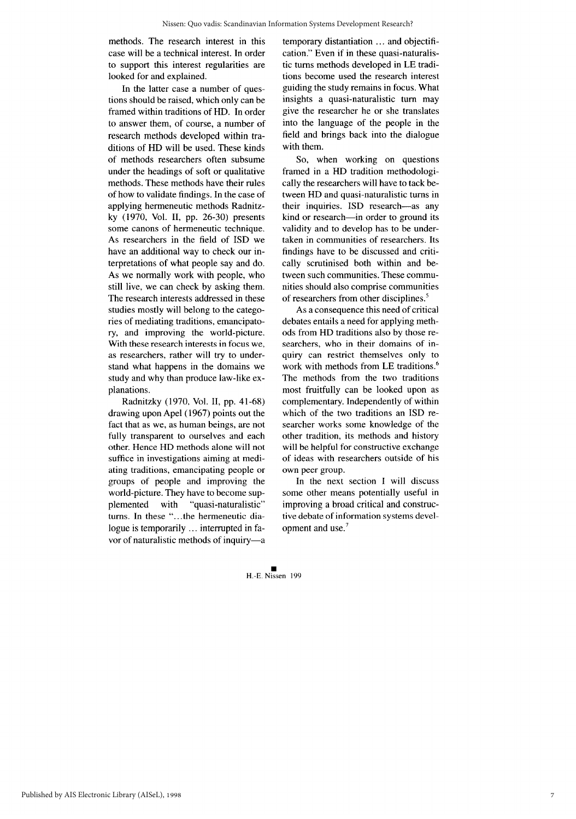methods. The research interest in this case will be a technical interest. In order to support this interest regularities are looked for and explained.

In the latter case a number of questions should be raised, which only can be framed within traditions of HD. In order to answer them, of course, a number of research methods developed within traditions of HD will be used. These kinds of methods researchers often subsume under the headings of soft or qualitative methods. These methods have their rules of how to validate findings. In the case of applying hermeneutic methods Radnitzky (1970, Vol. II, pp. 26-30) presents some canons of hermeneutic technique. As researchers in the field of ISD we have an additional way to check our interpretations of what people say and do. As we normally work with people, who still live, we can check by asking them. The research interests addressed in these studies mostly will belong to the categories of mediating traditions, emancipatory, and improving the world-picture. With these research interests in focus we, as researchers, rather will try to understand what happens in the domains we study and why than produce law-like explanations.

Radnitzky (1970, Vol. II, pp. 41-68) drawing upon Apel (1967) points out the fact that as we, as human beings, are not fully transparent to ourselves and each other. Hence HD methods alone will not suffice in investigations aiming at mediating traditions, emancipating people or groups of people and improving the world-picture. They have to become supplemented with "quasi-naturalistic" turns. In these "...the hermeneutic dialogue is temporarily ... interrupted in favor of naturalistic methods of inquiry-a temporary distantiation ... and objectification." Even if in these quasi-naturalistic turns methods developed in LE traditions become used the research interest guiding the study remains in focus. What insights a quasi-naturalistic turn may give the researcher he or she translates into the language of the people in the field and brings back into the dialogue with them.

So, when working on questions framed in a HD tradition methodologically the researchers will have to tack between HD and quasi-naturalistic turns in their inquiries. ISD research-as any kind or research-in order to ground its validity and to develop has to be undertaken in communities of researchers. Its findings have to be discussed and critically scrutinised both within and between such communities. These communities should also comprise communities of researchers from other disciplines.<sup>5</sup>

As a consequence this need of critical debates entails a need for applying methods from HD traditions also by those researchers, who in their domains of inquiry can restrict themselves only to work with methods from LE traditions.<sup>6</sup> The methods from the two traditions most fruitfully can be looked upon as complementary. Independently of within which of the two traditions an ISD researcher works some knowledge of the other tradition, its methods and history will be helpful for constructive exchange of ideas with researchers outside of his own peer group.

In the next section I will discuss some other means potentially useful in improving a broad critical and constructive debate of information systems development and use.<sup>7</sup>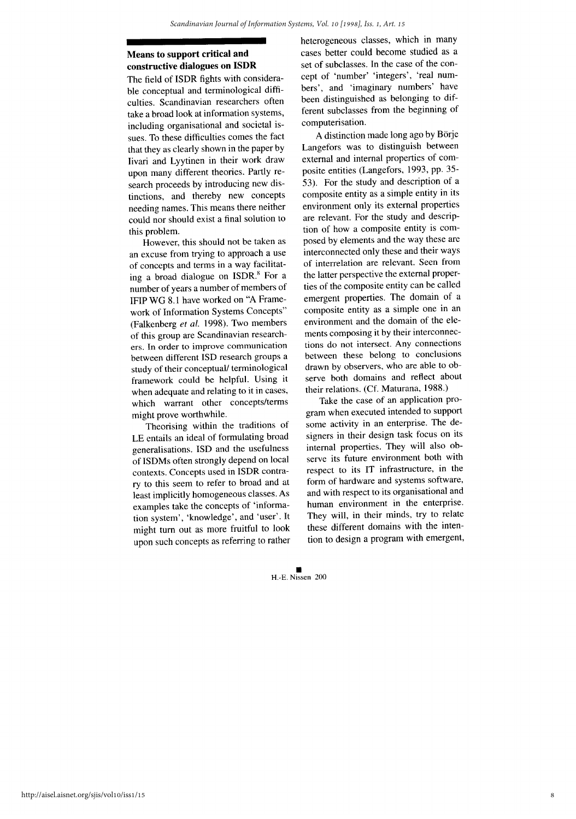### Means to support critical and constructive dialogues on ISDR

The field of ISDR fights with considerable conceptual and terminological difficulties. Scandinavian researchers often take a broad look at information systems, including organisational and societal issues. To these difficulties comes the fact that they as clearly shown in the paper by Iivari and Lyytinen in their work draw upon many different theories. Partly research proceeds by introducing new distinctions, and thereby new concepts needing names. This means there neither could nor should exist a final solution to this problem.

However, this should not be taken as an excuse from trying to approach a use of concepts and terms in a way facilitating a broad dialogue on ISDR.<sup>8</sup> For a number of years a number of members of IFIP WG 8.1 have worked on "A Framework of Information Systems Concepts" (Falkenberg et al. 1998). Two members of this group are Scandinavian researchers. In order to improve communication between different ISD research groups a study of their conceptual/ terminological framework could be helpful. Using it when adequate and relating to it in cases, which warrant other concepts/terms might prove worthwhile.

Theorising within the traditions of LE entails an ideal of formulating broad generalisations. ISD and the usefulness of ISDMs often strongly depend on local contexts. Concepts used in ISDR contrary to this seem to refer to broad and at least implicitly homogeneous classes. As examples take the concepts of 'information system', 'knowledge', and 'user'. It might turn out as more fruitful to look upon such concepts as referring to rather heterogeneous classes, which in many cases better could become studied as a set of subclasses. In the case of the concept of 'number' 'integers', 'real numbers', and 'imaginary numbers' have been distinguished as belonging to different subclasses from the beginning of computerisation.

A distinction made long ago by Börje Langefors was to distinguish between external and internal properties of composite entities (Langefors, 1993, pp. 35-53). For the study and description of a composite entity as a simple entity in its environment only its external properties are relevant. For the study and description of how a composite entity is composed by elements and the way these are interconnected only these and their ways of interrelation are relevant. Seen from the latter perspective the external properties of the composite entity can be called emergent properties. The domain of a composite entity as a simple one in an environment and the domain of the elements composing it by their interconnections do not intersect. Any connections between these belong to conclusions drawn by observers, who are able to observe both domains and reflect about their relations. (Cf. Maturana, 1988.)

Take the case of an application program when executed intended to support some activity in an enterprise. The designers in their design task focus on its internal properties. They will also observe its future environment both with respect to its IT infrastructure, in the form of hardware and systems software, and with respect to its organisational and human environment in the enterprise. They will, in their minds, try to relate these different domains with the intention to design a program with emergent,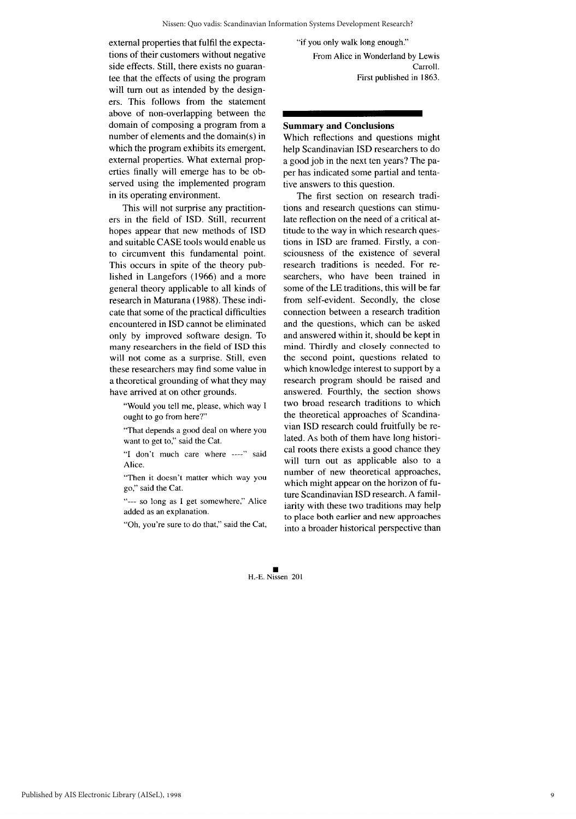external properties that fulfil the expectations of their customers without negative side effects. Still, there exists no guarantee that the effects of using the program will turn out as intended by the designers. This follows from the statement above of non-overlapping between the domain of composing a program from a number of elements and the domain(s) in which the program exhibits its emergent, external properties. What external properties finally will emerge has to be observed using the implemented program in its operating environment.

This will not surprise any practitioners in the field of ISD. Still, recurrent hopes appear that new methods of ISD and suitable CASE tools would enable us to circumvent this fundamental point. This occurs in spite of the theory published in Langefors (1966) and a more general theory applicable to all kinds of research in Maturana (1988). These indicate that some of the practical difficulties encountered in ISD cannot be eliminated only by improved software design. To many researchers in the field of ISD this will not come as a surprise. Still, even these researchers may find some value in a theoretical grounding of what they may have arrived at on other grounds.

"Would you tell me, please, which way I ought to go from here?"

"That depends a good deal on where you want to get to," said the Cat.

"I don't much care where ----" said Alice.

"Then it doesn't matter which way you go," said the Cat.

"--- so long as I get somewhere," Alice added as an explanation.

"Oh, you're sure to do that," said the Cat,

"if you only walk long enough." From Alice in Wonderland by Lewis

Carroll. First published in 1863.

#### **Summary and Conclusions**

Which reflections and questions might help Scandinavian ISD researchers to do a good job in the next ten years? The paper has indicated some partial and tentative answers to this question.

The first section on research traditions and research questions can stimulate reflection on the need of a critical attitude to the way in which research questions in ISD are framed. Firstly, a consciousness of the existence of several research traditions is needed. For researchers, who have been trained in some of the LE traditions, this will be far from self-evident. Secondly, the close connection between a research tradition and the questions, which can be asked and answered within it, should be kept in mind. Thirdly and closely connected to the second point, questions related to which knowledge interest to support by a research program should be raised and answered. Fourthly, the section shows two broad research traditions to which the theoretical approaches of Scandinavian ISD research could fruitfully be related. As both of them have long historical roots there exists a good chance they will turn out as applicable also to a number of new theoretical approaches, which might appear on the horizon of future Scandinavian ISD research. A familiarity with these two traditions may help to place both earlier and new approaches into a broader historical perspective than

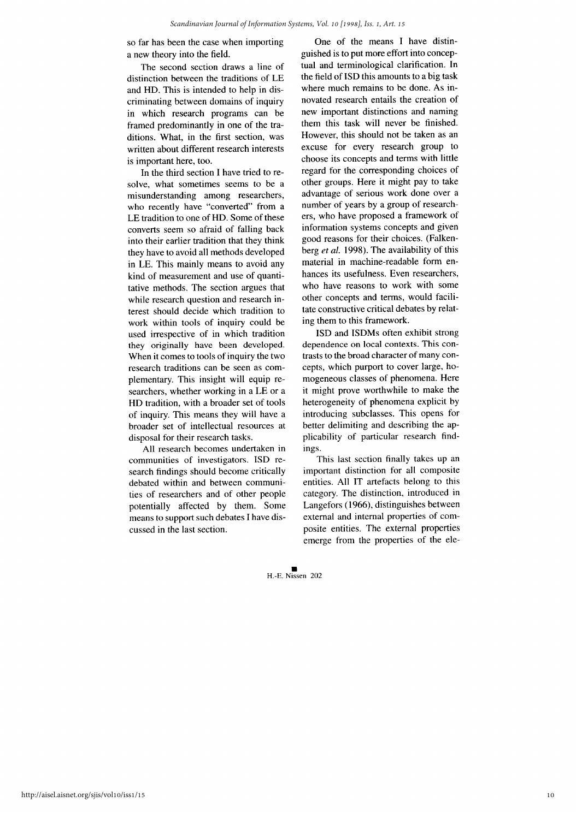so far has been the case when importing a new theory into the field.

The second section draws a line of distinction between the traditions of LE and HD. This is intended to help in discriminating between domains of inquiry in which research programs can be framed predominantly in one of the traditions. What, in the first section, was written about different research interests is important here, too.

In the third section I have tried to resolve, what sometimes seems to be a misunderstanding among researchers, who recently have "converted" from a LE tradition to one of HD. Some of these converts seem so afraid of falling back into their earlier tradition that they think they have to avoid all methods developed in LE. This mainly means to avoid any kind of measurement and use of quantitative methods. The section argues that while research question and research interest should decide which tradition to work within tools of inquiry could be used irrespective of in which tradition they originally have been developed. When it comes to tools of inquiry the two research traditions can be seen as complementary. This insight will equip researchers, whether working in a LE or a HD tradition, with a broader set of tools of inquiry. This means they will have a broader set of intellectual resources at disposal for their research tasks.

All research becomes undertaken in communities of investigators. ISD research findings should become critically debated within and between communities of researchers and of other people potentially affected by them. Some means to support such debates I have discussed in the last section.

One of the means I have distinguished is to put more effort into conceptual and terminological clarification. In the field of ISD this amounts to a big task where much remains to be done. As innovated research entails the creation of new important distinctions and naming them this task will never be finished. However, this should not be taken as an excuse for every research group to choose its concepts and terms with little regard for the corresponding choices of other groups. Here it might pay to take advantage of serious work done over a number of years by a group of researchers, who have proposed a framework of information systems concepts and given good reasons for their choices. (Falkenberg et al. 1998). The availability of this material in machine-readable form enhances its usefulness. Even researchers, who have reasons to work with some other concepts and terms, would facilitate constructive critical debates by relating them to this framework.

ISD and ISDMs often exhibit strong dependence on local contexts. This contrasts to the broad character of many concepts, which purport to cover large, homogeneous classes of phenomena. Here it might prove worthwhile to make the heterogeneity of phenomena explicit by introducing subclasses. This opens for better delimiting and describing the applicability of particular research findings.

This last section finally takes up an important distinction for all composite entities. All IT artefacts belong to this category. The distinction, introduced in Langefors (1966), distinguishes between external and internal properties of composite entities. The external properties emerge from the properties of the ele-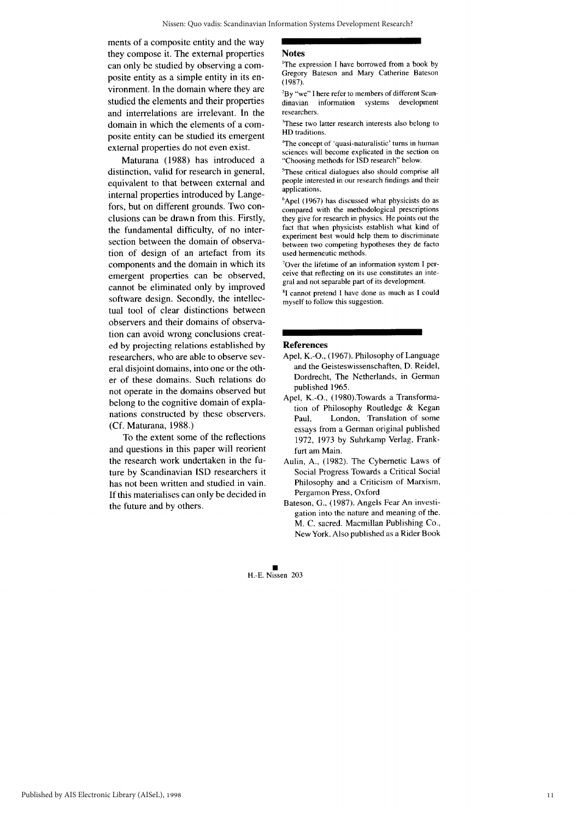ments of a composite entity and the way they compose it. The external properties can only be studied by observing a composite entity as a simple entity in its environment. In the domain where they are studied the elements and their properties and interrelations are irrelevant. In the domain in which the elements of a composite entity can be studied its emergent external properties do not even exist.

Maturana (1988) has introduced a distinction, valid for research in general, equivalent to that between external and internal properties introduced by Langefors, but on different grounds. Two conclusions can be drawn from this. Firstly, the fundamental difficulty, of no intersection between the domain of observation of design of an artefact from its components and the domain in which its emergent properties can be observed, cannot be eliminated only by improved software design. Secondly, the intellectual tool of clear distinctions between observers and their domains of observation can avoid wrong conclusions created by projecting relations established by researchers, who are able to observe several disjoint domains, into one or the other of these domains. Such relations do not operate in the domains observed but belong to the cognitive domain of explanations constructed by these observers. (Cf. Maturana, 1988.)

To the extent some of the reflections and questions in this paper will reorient the research work undertaken in the future by Scandinavian ISD researchers it has not been written and studied in vain. If this materialises can only be decided in the future and by others.

#### **Notes**

<sup>1</sup>The expression I have borrowed from a book by Gregory Bateson and Mary Catherine Bateson  $(1987)$ 

<sup>2</sup>By "we" I here refer to members of different Scansystems development dinavian information researchers.

<sup>3</sup>These two latter research interests also belong to HD traditions.

<sup>4</sup>The concept of 'quasi-naturalistic' turns in human sciences will become explicated in the section on "Choosing methods for ISD research" below.

<sup>5</sup>These critical dialogues also should comprise all people interested in our research findings and their applications.

<sup>6</sup>Apel (1967) has discussed what physicists do as compared with the methodological prescriptions they give for research in physics. He points out the fact that when physicists establish what kind of experiment best would help them to discriminate between two competing hypotheses they de facto used hermeneutic methods.

<sup>7</sup>Over the lifetime of an information system I perceive that reflecting on its use constitutes an integral and not separable part of its development.

<sup>8</sup>I cannot pretend I have done as much as I could myself to follow this suggestion.

#### **References**

- Apel, K.-O., (1967). Philosophy of Language and the Geisteswissenschaften, D. Reidel, Dordrecht, The Netherlands, in German published 1965.
- Apel, K.-O., (1980). Towards a Transformation of Philosophy Routledge & Kegan London, Translation of some Paul. essays from a German original published 1972, 1973 by Suhrkamp Verlag, Frankfurt am Main.
- Aulin, A., (1982). The Cybernetic Laws of Social Progress Towards a Critical Social Philosophy and a Criticism of Marxism, Pergamon Press, Oxford
- Bateson, G., (1987). Angels Fear An investigation into the nature and meaning of the. M. C. sacred. Macmillan Publishing Co., New York. Also published as a Rider Book